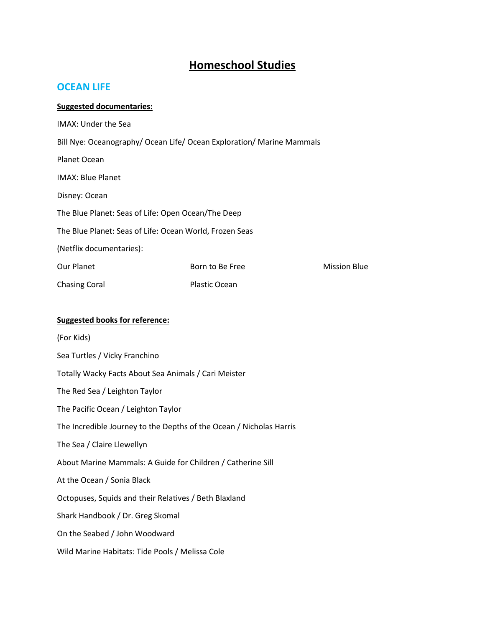# **Homeschool Studies**

# **OCEAN LIFE**

#### **Suggested documentaries:**

| IMAX: Under the Sea                                                   |                 |                     |
|-----------------------------------------------------------------------|-----------------|---------------------|
| Bill Nye: Oceanography/ Ocean Life/ Ocean Exploration/ Marine Mammals |                 |                     |
| Planet Ocean                                                          |                 |                     |
| <b>IMAX: Blue Planet</b>                                              |                 |                     |
| Disney: Ocean                                                         |                 |                     |
| The Blue Planet: Seas of Life: Open Ocean/The Deep                    |                 |                     |
| The Blue Planet: Seas of Life: Ocean World, Frozen Seas               |                 |                     |
| (Netflix documentaries):                                              |                 |                     |
| Our Planet                                                            | Born to Be Free | <b>Mission Blue</b> |
| <b>Chasing Coral</b>                                                  | Plastic Ocean   |                     |

## **Suggested books for reference:**

(For Kids)

Sea Turtles / Vicky Franchino

Totally Wacky Facts About Sea Animals / Cari Meister

The Red Sea / Leighton Taylor

The Pacific Ocean / Leighton Taylor

The Incredible Journey to the Depths of the Ocean / Nicholas Harris

The Sea / Claire Llewellyn

About Marine Mammals: A Guide for Children / Catherine Sill

At the Ocean / Sonia Black

Octopuses, Squids and their Relatives / Beth Blaxland

Shark Handbook / Dr. Greg Skomal

On the Seabed / John Woodward

Wild Marine Habitats: Tide Pools / Melissa Cole